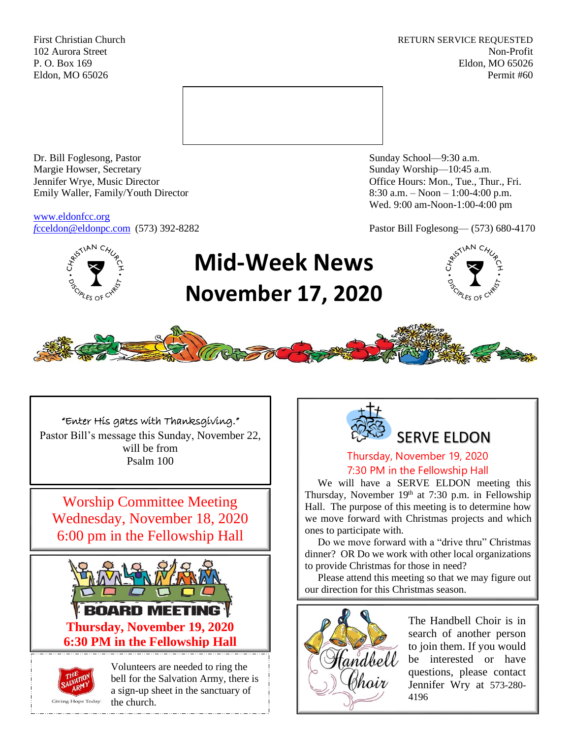First Christian Church **RETURN SERVICE REQUESTED** 102 Aurora Street Non-Profit P. O. Box 169 Eldon, MO 65026 Eldon, MO 65026 Permit #60



Dr. Bill Foglesong, Pastor Sunday School—9:30 a.m. Margie Howser, Secretary Sunday Worship—10:45 a.m. Jennifer Wrye, Music Director Office Hours: Mon., Tue., Thur., Fri. Emily Waller, Family/Youth Director 8:30 a.m. – Noon – 1:00-4:00 p.m.

[www.eldonfcc.org](http://www.eldonfcc.org/)

Wed. 9:00 am-Noon-1:00-4:00 pm

*f*[cceldon@eldonpc.com](mailto:fcceldon@eldonpc.com) (573) 392-8282 Pastor Bill Foglesong— (573) 680-4170



# **Mid-Week News November 17, 2020**





"Enter His gates with Thanksgiving." Pastor Bill's message this Sunday, November 22, will be from Psalm 100

Worship Committee Meeting Wednesday, November 18, 2020 6:00 pm in the Fellowship Hall





Volunteers are needed to ring the bell for the Salvation Army, there is a sign-up sheet in the sanctuary of the church.



# Thursday, November 19, 2020 7:30 PM in the Fellowship Hall

We will have a SERVE ELDON meeting this Thursday, November  $19<sup>th</sup>$  at 7:30 p.m. in Fellowship Hall. The purpose of this meeting is to determine how we move forward with Christmas projects and which ones to participate with.

 Do we move forward with a "drive thru" Christmas dinner? OR Do we work with other local organizations to provide Christmas for those in need?

 Please attend this meeting so that we may figure out our direction for this Christmas season.



The Handbell Choir is in search of another person to join them. If you would be interested or have questions, please contact Jennifer Wry at 573-280- 4196